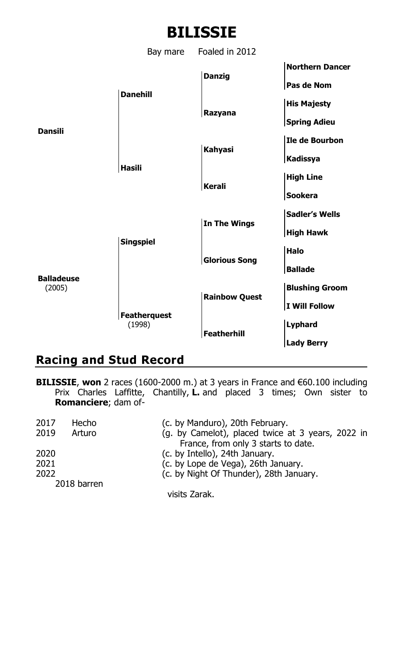## **BILISSIE**

Bay mare Foaled in 2012

| Dansili                     | <b>Danehill</b>        | Danzig               | <b>Northern Dancer</b> |
|-----------------------------|------------------------|----------------------|------------------------|
|                             |                        |                      | Pas de Nom             |
|                             |                        | Razyana              | <b>His Majesty</b>     |
|                             |                        |                      | <b>Spring Adieu</b>    |
|                             | Hasili                 | Kahyasi              | <b>Ile de Bourbon</b>  |
|                             |                        |                      | Kadissya               |
|                             |                        | Kerali               | <b>High Line</b>       |
|                             |                        |                      | Sookera                |
| <b>Balladeuse</b><br>(2005) | <b>Singspiel</b>       | <b>In The Wings</b>  | <b>Sadler's Wells</b>  |
|                             |                        |                      | <b>High Hawk</b>       |
|                             |                        | <b>Glorious Song</b> | Halo                   |
|                             |                        |                      | <b>Ballade</b>         |
|                             | Featherquest<br>(1998) | <b>Rainbow Quest</b> | <b>Blushing Groom</b>  |
|                             |                        |                      | I Will Follow          |
|                             |                        | <b>Featherhill</b>   | Lyphard                |
|                             |                        |                      | <b>Lady Berry</b>      |

## **Racing and Stud Record**

**BILISSIE**, **won** 2 races (1600-2000 m.) at 3 years in France and €60.100 including Prix Charles Laffitte, Chantilly, **L.** and placed 3 times; Own sister to **Romanciere**; dam of-

| 2017           | Hecho       | (c. by Manduro), 20th February.                   |  |
|----------------|-------------|---------------------------------------------------|--|
| 2019<br>Arturo |             | (g. by Camelot), placed twice at 3 years, 2022 in |  |
|                |             | France, from only 3 starts to date.               |  |
| 2020           |             | (c. by Intello), 24th January.                    |  |
| 2021           |             | (c. by Lope de Vega), 26th January.               |  |
| 2022           |             | (c. by Night Of Thunder), 28th January.           |  |
|                | 2018 barren |                                                   |  |
|                |             | visits Zarak.                                     |  |